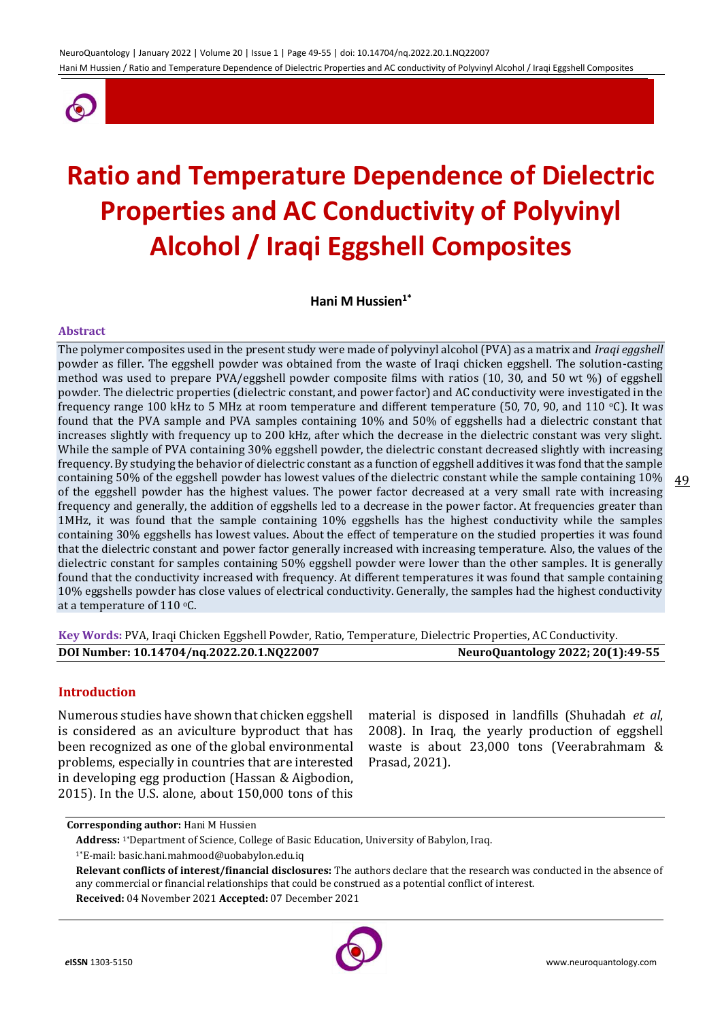

# **Ratio and Temperature Dependence of Dielectric Properties and AC Conductivity of Polyvinyl Alcohol / Iraqi Eggshell Composites**

**Hani M Hussien1\***

#### **Abstract**

The polymer composites used in the present study were made of polyvinyl alcohol (PVA) as a matrix and *Iraqi eggshell* powder as filler. The eggshell powder was obtained from the waste of Iraqi chicken eggshell. The solution-casting method was used to prepare PVA/eggshell powder composite films with ratios (10, 30, and 50 wt %) of eggshell powder. The dielectric properties (dielectric constant, and power factor) and AC conductivity were investigated in the frequency range 100 kHz to 5 MHz at room temperature and different temperature (50, 70, 90, and 110 °C). It was found that the PVA sample and PVA samples containing 10% and 50% of eggshells had a dielectric constant that increases slightly with frequency up to 200 kHz, after which the decrease in the dielectric constant was very slight. While the sample of PVA containing 30% eggshell powder, the dielectric constant decreased slightly with increasing frequency. By studying the behavior of dielectric constant as a function of eggshell additives it was fond that the sample containing 50% of the eggshell powder has lowest values of the dielectric constant while the sample containing 10% of the eggshell powder has the highest values. The power factor decreased at a very small rate with increasing frequency and generally, the addition of eggshells led to a decrease in the power factor. At frequencies greater than 1MHz, it was found that the sample containing 10% eggshells has the highest conductivity while the samples containing 30% eggshells has lowest values. About the effect of temperature on the studied properties it was found that the dielectric constant and power factor generally increased with increasing temperature. Also, the values of the dielectric constant for samples containing 50% eggshell powder were lower than the other samples. It is generally found that the conductivity increased with frequency. At different temperatures it was found that sample containing 10% eggshells powder has close values of electrical conductivity. Generally, the samples had the highest conductivity at a temperature of 110  $\degree$ C.

**Key Words:** PVA, Iraqi Chicken Eggshell Powder, Ratio, Temperature, Dielectric Properties, AC Conductivity. **DOI Number: 10.14704/nq.2022.20.1.NQ22007 NeuroQuantology 2022; 20(1):49-55**

## **Introduction**

Numerous studies have shown that chicken eggshell is considered as an aviculture byproduct that has been recognized as one of the global environmental problems, especially in countries that are interested in developing egg production [\(Hassan](https://www.sciencedirect.com/science/article/pii/S1018363913000093#!) & [Aigbodion,](https://www.sciencedirect.com/science/article/pii/S1018363913000093#!) 2015). In the U.S. alone, about 150,000 tons of this

material is disposed in landfills (Shuhadah *et al*, 2008). In Iraq, the yearly production of eggshell waste is about 23,000 tons (Veerabrahmam & Prasad, 2021).

**Received:** 04 November 2021 **Accepted:** 07 December 2021



49

**Corresponding author:** Hani M Hussien

**Address:** 1\*Department of Science, College of Basic Education, University of Babylon, Iraq.

<sup>1\*</sup>E-mail: basic.hani.mahmood@uobabylon.edu.iq

**Relevant conflicts of interest/financial disclosures:** The authors declare that the research was conducted in the absence of any commercial or financial relationships that could be construed as a potential conflict of interest.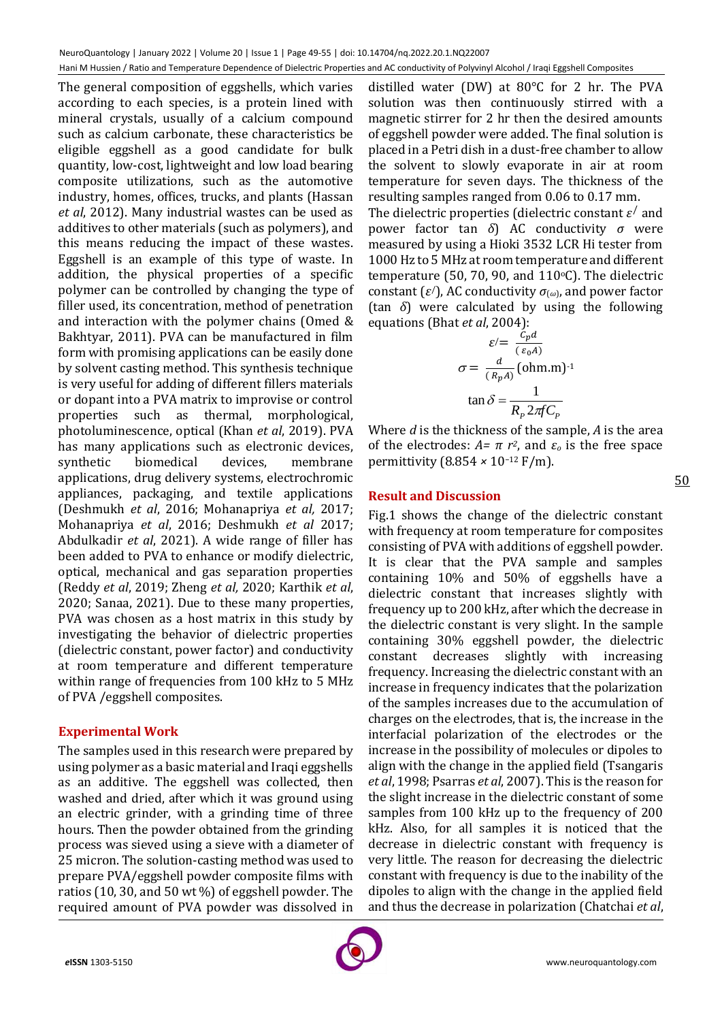The general composition of eggshells, which varies according to each species, is a protein lined with mineral crystals, usually of a calcium compound such as calcium carbonate, these characteristics be eligible eggshell as a good candidate for bulk quantity, low-cost, lightweight and low load bearing composite utilizations, such as the automotive industry, homes, offices, trucks, and plants (Hassan *et al*, 2012). Many industrial wastes can be used as additives to other materials (such as polymers), and this means reducing the impact of these wastes. Eggshell is an example of this type of waste. In addition, the physical properties of a specific polymer can be controlled by changing the type of filler used, its concentration, method of penetration and interaction with the polymer chains (Omed & Bakhtyar, 2011). PVA can be manufactured in film form with promising applications can be easily done by solvent casting method. This synthesis technique is very useful for adding of different fillers materials or dopant into a PVA matrix to improvise or control properties such as thermal, morphological, photoluminescence, optical (Khan *et al*, 2019). PVA has many applications such as electronic devices, synthetic biomedical devices, membrane applications, drug delivery systems, electrochromic appliances, packaging, and textile applications (Deshmukh *et al*, 2016; Mohanapriya *et al,* 2017; Mohanapriya *et al*, 2016; Deshmukh *et al* 2017; Abdulkadir *et al*, 2021). A wide range of filler has been added to PVA to enhance or modify dielectric, optical, mechanical and gas separation properties (Reddy *et al*, 2019; Zheng *et al,* 2020; Karthik *et al*, 2020; Sanaa, 2021). Due to these many properties, PVA was chosen as a host matrix in this study by investigating the behavior of dielectric properties (dielectric constant, power factor) and conductivity at room temperature and different temperature within range of frequencies from 100 kHz to 5 MHz of PVA /eggshell composites.

## **Experimental Work**

The samples used in this research were prepared by using polymer as a basic material and Iraqi eggshells as an additive. The eggshell was collected, then washed and dried, after which it was ground using an electric grinder, with a grinding time of three hours. Then the powder obtained from the grinding process was sieved using a sieve with a diameter of 25 micron. The solution-casting method was used to prepare PVA/eggshell powder composite films with ratios (10, 30, and 50 wt %) of eggshell powder. The required amount of PVA powder was dissolved in

distilled water (DW) at 80°C for 2 hr. The PVA solution was then continuously stirred with a magnetic stirrer for 2 hr then the desired amounts of eggshell powder were added. The final solution is placed in a Petri dish in a dust-free chamber to allow the solvent to slowly evaporate in air at room temperature for seven days. The thickness of the resulting samples ranged from 0.06 to 0.17 mm.

The dielectric properties (dielectric constant  $\varepsilon'$  and power factor tan *δ*) AC conductivity *σ* were measured by using a Hioki 3532 LCR Hi tester from 1000 Hz to 5 MHz at room temperature and different temperature (50, 70, 90, and  $110\textdegree C$ ). The dielectric constant  $(\varepsilon)$ , AC conductivity  $\sigma$ <sub>(*ω*)</sub>, and power factor (tan *δ*) were calculated by using the following equations (Bhat *et al*, 2004):

$$
\varepsilon = \frac{\varepsilon_p d}{(\varepsilon_0 A)}
$$

$$
\sigma = \frac{d}{(R_p A)} (\text{ohm.m})^{-1}
$$

$$
\tan \delta = \frac{1}{R_p 2\pi f C_p}
$$

Where *d* is the thickness of the sample, *A* is the area of the electrodes:  $A = \pi r^2$ , and  $ε_0$  is the free space permittivity (8.854 *×* 10*−*<sup>12</sup> F/m).

# **Result and Discussion**

Fig.1 shows the change of the dielectric constant with frequency at room temperature for composites consisting of PVA with additions of eggshell powder. It is clear that the PVA sample and samples containing 10% and 50% of eggshells have a dielectric constant that increases slightly with frequency up to 200 kHz, after which the decrease in the dielectric constant is very slight. In the sample containing 30% eggshell powder, the dielectric constant decreases slightly with increasing frequency. Increasing the dielectric constant with an increase in frequency indicates that the polarization of the samples increases due to the accumulation of charges on the electrodes, that is, the increase in the interfacial polarization of the electrodes or the increase in the possibility of molecules or dipoles to align with the change in the applied field (Tsangaris *et al*, 1998; Psarras *et al*, 2007). This is the reason for the slight increase in the dielectric constant of some samples from 100 kHz up to the frequency of 200 kHz. Also, for all samples it is noticed that the decrease in dielectric constant with frequency is very little. The reason for decreasing the dielectric constant with frequency is due to the inability of the dipoles to align with the change in the applied field and thus the decrease in polarization (Chatchai *et al*,



50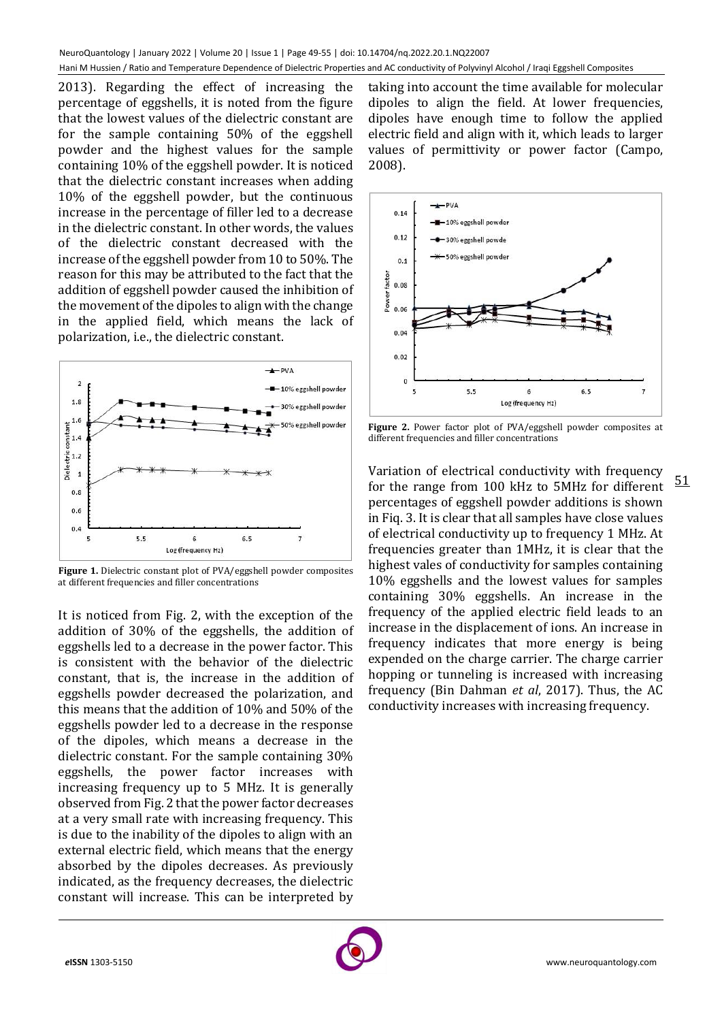2013). Regarding the effect of increasing the percentage of eggshells, it is noted from the figure that the lowest values of the dielectric constant are for the sample containing 50% of the eggshell powder and the highest values for the sample containing 10% of the eggshell powder. It is noticed that the dielectric constant increases when adding 10% of the eggshell powder, but the continuous increase in the percentage of filler led to a decrease in the dielectric constant. In other words, the values of the dielectric constant decreased with the increase of the eggshell powder from 10 to 50%. The reason for this may be attributed to the fact that the addition of eggshell powder caused the inhibition of the movement of the dipoles to align with the change in the applied field, which means the lack of polarization, i.e., the dielectric constant.



**Figure 1.** Dielectric constant plot of PVA/eggshell powder composites at different frequencies and filler concentrations

It is noticed from Fig. 2, with the exception of the addition of 30% of the eggshells, the addition of eggshells led to a decrease in the power factor. This is consistent with the behavior of the dielectric constant, that is, the increase in the addition of eggshells powder decreased the polarization, and this means that the addition of 10% and 50% of the eggshells powder led to a decrease in the response of the dipoles, which means a decrease in the dielectric constant. For the sample containing 30% eggshells, the power factor increases with increasing frequency up to 5 MHz. It is generally observed from Fig. 2 that the power factor decreases at a very small rate with increasing frequency. This is due to the inability of the dipoles to align with an external electric field, which means that the energy absorbed by the dipoles decreases. As previously indicated, as the frequency decreases, the dielectric constant will increase. This can be interpreted by

taking into account the time available for molecular dipoles to align the field. At lower frequencies, dipoles have enough time to follow the applied electric field and align with it, which leads to larger values of permittivity or power factor (Campo, 2008).



**Figure 2.** Power factor plot of PVA/eggshell powder composites at different frequencies and filler concentrations

51

Variation of electrical conductivity with frequency for the range from 100 kHz to 5MHz for different percentages of eggshell powder additions is shown in Fiq. 3. It is clear that all samples have close values of electrical conductivity up to frequency 1 MHz. At frequencies greater than 1MHz, it is clear that the highest vales of conductivity for samples containing 10% eggshells and the lowest values for samples containing 30% eggshells. An increase in the frequency of the applied electric field leads to an increase in the displacement of ions. An increase in frequency indicates that more energy is being expended on the charge carrier. The charge carrier hopping or tunneling is increased with increasing frequency (Bin Dahman *et al*, 2017). Thus, the AC conductivity increases with increasing frequency.

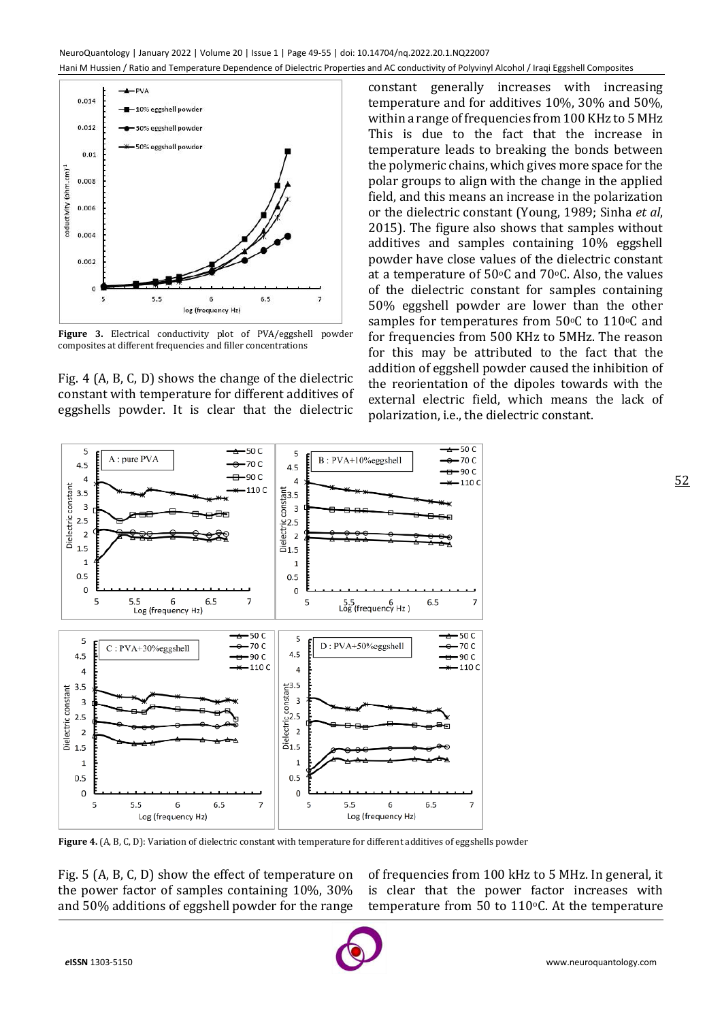



Fig. 4 (A, B, C, D) shows the change of the dielectric constant with temperature for different additives of eggshells powder. It is clear that the dielectric

constant generally increases with increasing temperature and for additives 10%, 30% and 50%, within a range of frequencies from 100 KHz to 5 MHz This is due to the fact that the increase in temperature leads to breaking the bonds between the polymeric chains, which gives more space for the polar groups to align with the change in the applied field, and this means an increase in the polarization or the dielectric constant (Young, 1989; Sinha *et al*, 2015). The figure also shows that samples without additives and samples containing 10% eggshell powder have close values of the dielectric constant at a temperature of  $50^{\circ}$ C and  $70^{\circ}$ C. Also, the values of the dielectric constant for samples containing 50% eggshell powder are lower than the other samples for temperatures from  $50^{\circ}$ C to  $110^{\circ}$ C and for frequencies from 500 KHz to 5MHz. The reason for this may be attributed to the fact that the addition of eggshell powder caused the inhibition of the reorientation of the dipoles towards with the external electric field, which means the lack of polarization, i.e., the dielectric constant.



**Figure 4.** (A, B, C, D): Variation of dielectric constant with temperature for different additives of eggshells powder

Fig. 5 (A, B, C, D) show the effect of temperature on the power factor of samples containing 10%, 30% and 50% additions of eggshell powder for the range of frequencies from 100 kHz to 5 MHz. In general, it is clear that the power factor increases with temperature from 50 to 110 $\degree$ C. At the temperature



52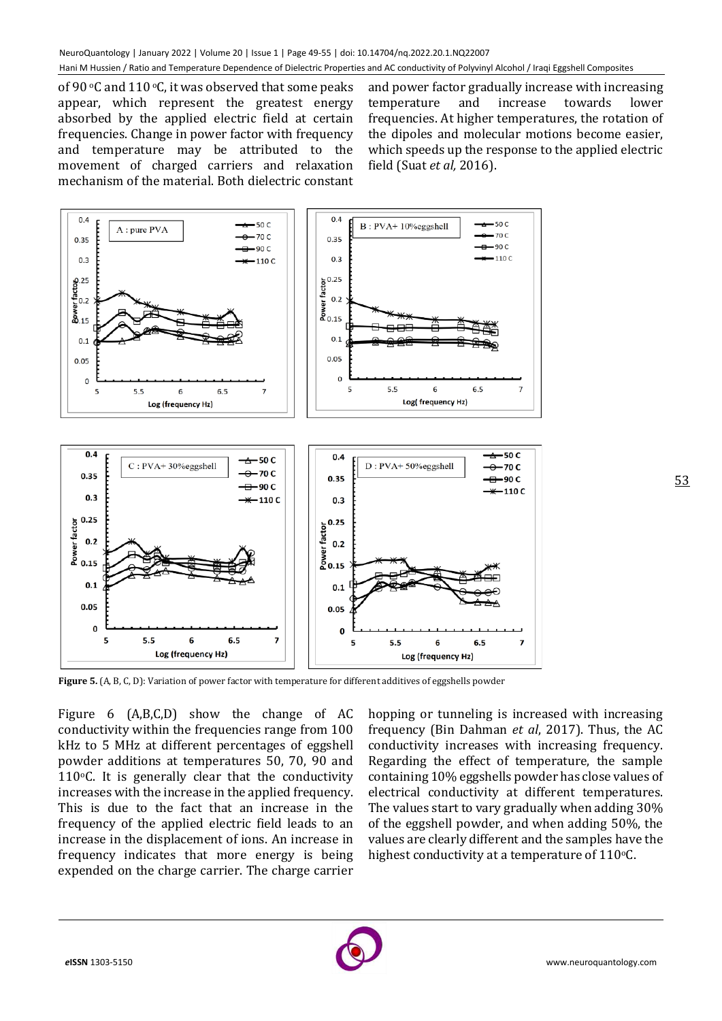of 90  $\circ$ C and 110  $\circ$ C, it was observed that some peaks appear, which represent the greatest energy absorbed by the applied electric field at certain frequencies. Change in power factor with frequency and temperature may be attributed to the movement of charged carriers and relaxation mechanism of the material. Both dielectric constant

and power factor gradually increase with increasing temperature and increase towards lower frequencies. At higher temperatures, the rotation of the dipoles and molecular motions become easier, which speeds up the response to the applied electric field (Suat *et al,* 2016).



**Figure 5.** (A, B, C, D): Variation of power factor with temperature for different additives of eggshells powder

Figure 6 (A,B,C,D) show the change of AC conductivity within the frequencies range from 100 kHz to 5 MHz at different percentages of eggshell powder additions at temperatures 50, 70, 90 and 110 $\degree$ C. It is generally clear that the conductivity increases with the increase in the applied frequency. This is due to the fact that an increase in the frequency of the applied electric field leads to an increase in the displacement of ions. An increase in frequency indicates that more energy is being expended on the charge carrier. The charge carrier

hopping or tunneling is increased with increasing frequency (Bin Dahman *et al*, 2017). Thus, the AC conductivity increases with increasing frequency. Regarding the effect of temperature, the sample containing 10% eggshells powder has close values of electrical conductivity at different temperatures. The values start to vary gradually when adding 30% of the eggshell powder, and when adding 50%, the values are clearly different and the samples have the highest conductivity at a temperature of  $110$ <sup>o</sup>C.

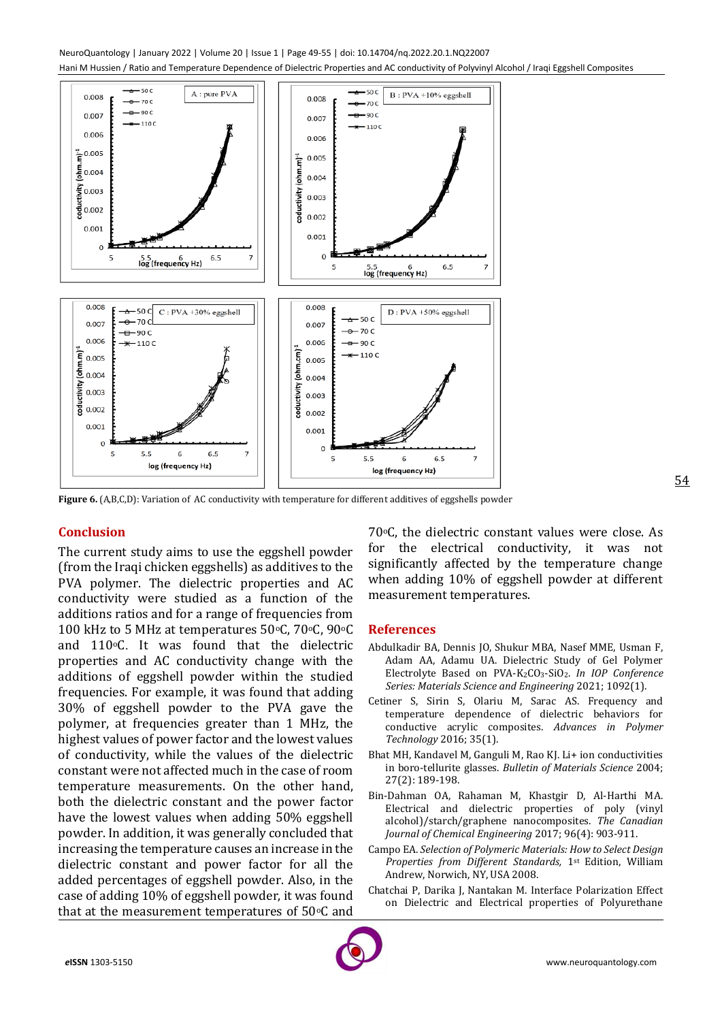NeuroQuantology | January 2022 | Volume 20 | Issue 1 | Page 49-55 | doi: 10.14704/nq.2022.20.1.NQ22007 Hani M Hussien / Ratio and Temperature Dependence of Dielectric Properties and AC conductivity of Polyvinyl Alcohol / Iraqi Eggshell Composites



**Figure 6.** (A,B,C,D): Variation of AC conductivity with temperature for different additives of eggshells powder

## **Conclusion**

The current study aims to use the eggshell powder (from the Iraqi chicken eggshells) as additives to the PVA polymer. The dielectric properties and AC conductivity were studied as a function of the additions ratios and for a range of frequencies from 100 kHz to 5 MHz at temperatures 50°C, 70°C, 90°C and  $110\degree$ C. It was found that the dielectric properties and AC conductivity change with the additions of eggshell powder within the studied frequencies. For example, it was found that adding 30% of eggshell powder to the PVA gave the polymer, at frequencies greater than 1 MHz, the highest values of power factor and the lowest values of conductivity, while the values of the dielectric constant were not affected much in the case of room temperature measurements. On the other hand, both the dielectric constant and the power factor have the lowest values when adding 50% eggshell powder. In addition, it was generally concluded that increasing the temperature causes an increase in the dielectric constant and power factor for all the added percentages of eggshell powder. Also, in the case of adding 10% of eggshell powder, it was found that at the measurement temperatures of  $50^{\circ}$ C and

70°C, the dielectric constant values were close. As for the electrical conductivity, it was not significantly affected by the temperature change when adding 10% of eggshell powder at different measurement temperatures.

#### **References**

- Abdulkadir BA, Dennis JO, Shukur MBA, Nasef MME, Usman F, Adam AA, Adamu UA. Dielectric Study of Gel Polymer Electrolyte Based on PVA-K2CO3-SiO2. *In IOP Conference Series: Materials Science and Engineering* 2021; 1092(1).
- Cetiner S, Sirin S, Olariu M, Sarac AS. Frequency and temperature dependence of dielectric behaviors for conductive acrylic composites. *Advances in Polymer Technology* 2016; 35(1).
- Bhat MH, Kandavel M, Ganguli M, Rao KJ. Li+ ion conductivities in boro-tellurite glasses. *Bulletin of Materials Science* 2004; 27(2): 189-198.
- Bin‐Dahman OA, Rahaman M, Khastgir D, Al‐Harthi MA. Electrical and dielectric properties of poly (vinyl alcohol)/starch/graphene nanocomposites. *The Canadian Journal of Chemical Engineering* 2017; 96(4): 903-911.
- Campo EA. *Selection of Polymeric Materials: How to Select Design Properties from Different Standards,* 1st Edition, William Andrew, Norwich, NY, USA 2008.
- Chatchai P, Darika J, Nantakan M. Interface Polarization Effect on Dielectric and Electrical properties of Polyurethane